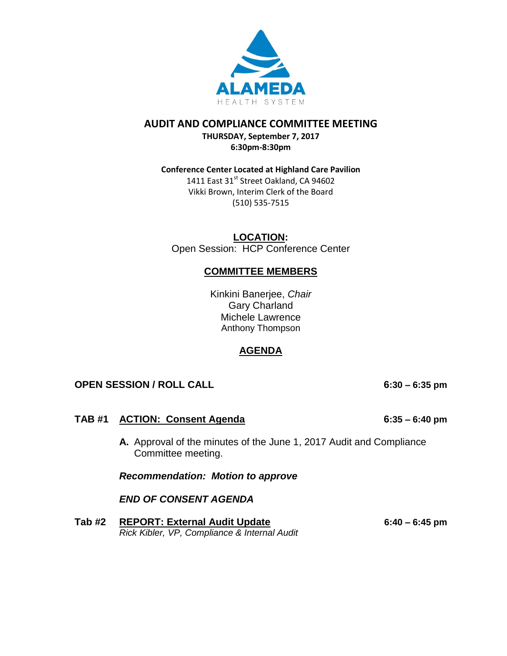

## **AUDIT AND COMPLIANCE COMMITTEE MEETING**

**THURSDAY, September 7, 2017 6:30pm-8:30pm**

## **Conference Center Located at Highland Care Pavilion**

1411 East 31<sup>st</sup> Street Oakland, CA 94602 Vikki Brown, Interim Clerk of the Board (510) 535-7515

**LOCATION:** Open Session: HCP Conference Center

# **COMMITTEE MEMBERS**

Kinkini Banerjee, *Chair* Gary Charland Michele Lawrence Anthony Thompson

# **AGENDA**

# **OPEN SESSION / ROLL CALL 6:30 – 6:35 pm**

# **TAB #1 ACTION: Consent Agenda 6:35 – 6:40 pm**

**A.** Approval of the minutes of the June 1, 2017 Audit and Compliance Committee meeting.

*Recommendation: Motion to approve* 

*END OF CONSENT AGENDA*

**Tab #2 REPORT: External Audit Update 6:40 – 6:45 pm** *Rick Kibler, VP, Compliance & Internal Audit*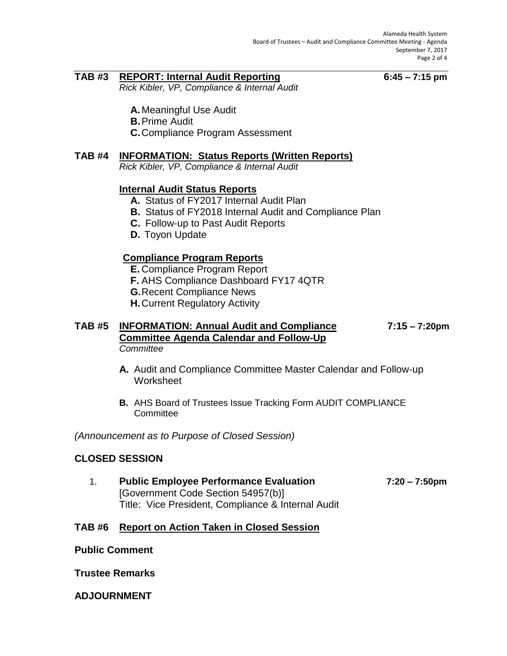## **TAB #3 REPORT: Internal Audit Reporting 6:45 – 7:15 pm**

*Rick Kibler, VP, Compliance & Internal Audit*

- **A.** Meaningful Use Audit
- **B.**Prime Audit
- **C.**Compliance Program Assessment

## **TAB #4 INFORMATION: Status Reports (Written Reports)**

*Rick Kibler, VP, Compliance & Internal Audit*

# **Internal Audit Status Reports**

- **A.** Status of FY2017 Internal Audit Plan
- **B.** Status of FY2018 Internal Audit and Compliance Plan
- **C.** Follow-up to Past Audit Reports
- **D.** Toyon Update

# **Compliance Program Reports**

- **E.** Compliance Program Report
- **F.** AHS Compliance Dashboard FY17 4QTR
- **G.**Recent Compliance News
- **H.**Current Regulatory Activity

### **TAB #5 INFORMATION: Annual Audit and Compliance 7:15 – 7:20pm Committee Agenda Calendar and Follow-Up** *Committee*

- **A.** Audit and Compliance Committee Master Calendar and Follow-up **Worksheet**
- **B.** AHS Board of Trustees Issue Tracking Form AUDIT COMPLIANCE **Committee**

*(Announcement as to Purpose of Closed Session)*

## **CLOSED SESSION**

1. **Public Employee Performance Evaluation 7:20 – 7:50pm** [Government Code Section 54957(b)] Title: Vice President, Compliance & Internal Audit

## **TAB #6 Report on Action Taken in Closed Session**

**Public Comment**

**Trustee Remarks**

**ADJOURNMENT**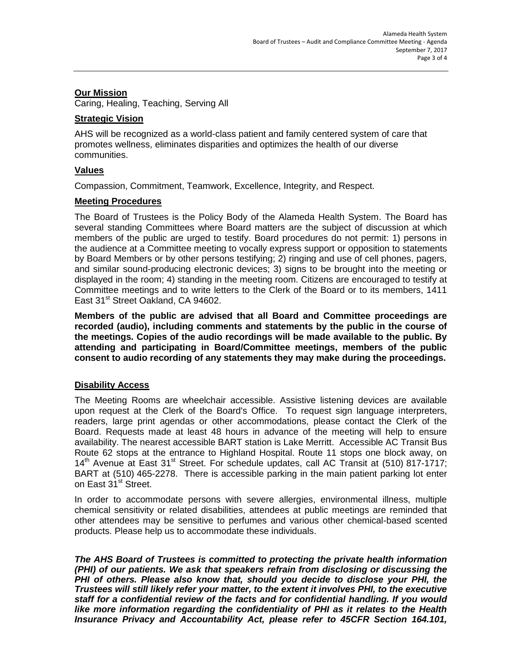## **Our Mission**

Caring, Healing, Teaching, Serving All

### **Strategic Vision**

AHS will be recognized as a world-class patient and family centered system of care that promotes wellness, eliminates disparities and optimizes the health of our diverse communities.

## **Values**

Compassion, Commitment, Teamwork, Excellence, Integrity, and Respect.

#### **Meeting Procedures**

The Board of Trustees is the Policy Body of the Alameda Health System. The Board has several standing Committees where Board matters are the subject of discussion at which members of the public are urged to testify. Board procedures do not permit: 1) persons in the audience at a Committee meeting to vocally express support or opposition to statements by Board Members or by other persons testifying; 2) ringing and use of cell phones, pagers, and similar sound-producing electronic devices; 3) signs to be brought into the meeting or displayed in the room; 4) standing in the meeting room. Citizens are encouraged to testify at Committee meetings and to write letters to the Clerk of the Board or to its members, 1411 East 31<sup>st</sup> Street Oakland, CA 94602.

**Members of the public are advised that all Board and Committee proceedings are recorded (audio), including comments and statements by the public in the course of the meetings. Copies of the audio recordings will be made available to the public. By attending and participating in Board/Committee meetings, members of the public consent to audio recording of any statements they may make during the proceedings.** 

## **Disability Access**

The Meeting Rooms are wheelchair accessible. Assistive listening devices are available upon request at the Clerk of the Board's Office. To request sign language interpreters, readers, large print agendas or other accommodations, please contact the Clerk of the Board. Requests made at least 48 hours in advance of the meeting will help to ensure availability. The nearest accessible BART station is Lake Merritt. Accessible AC Transit Bus Route 62 stops at the entrance to Highland Hospital. Route 11 stops one block away, on  $14<sup>th</sup>$  Avenue at East 31<sup>st</sup> Street. For schedule updates, call AC Transit at (510) 817-1717; BART at (510) 465-2278. There is accessible parking in the main patient parking lot enter on East 31<sup>st</sup> Street.

In order to accommodate persons with severe allergies, environmental illness, multiple chemical sensitivity or related disabilities, attendees at public meetings are reminded that other attendees may be sensitive to perfumes and various other chemical-based scented products. Please help us to accommodate these individuals.

*The AHS Board of Trustees is committed to protecting the private health information (PHI) of our patients. We ask that speakers refrain from disclosing or discussing the PHI of others. Please also know that, should you decide to disclose your PHI, the Trustees will still likely refer your matter, to the extent it involves PHI, to the executive staff for a confidential review of the facts and for confidential handling. If you would like more information regarding the confidentiality of PHI as it relates to the Health Insurance Privacy and Accountability Act, please refer to 45CFR Section 164.101,*